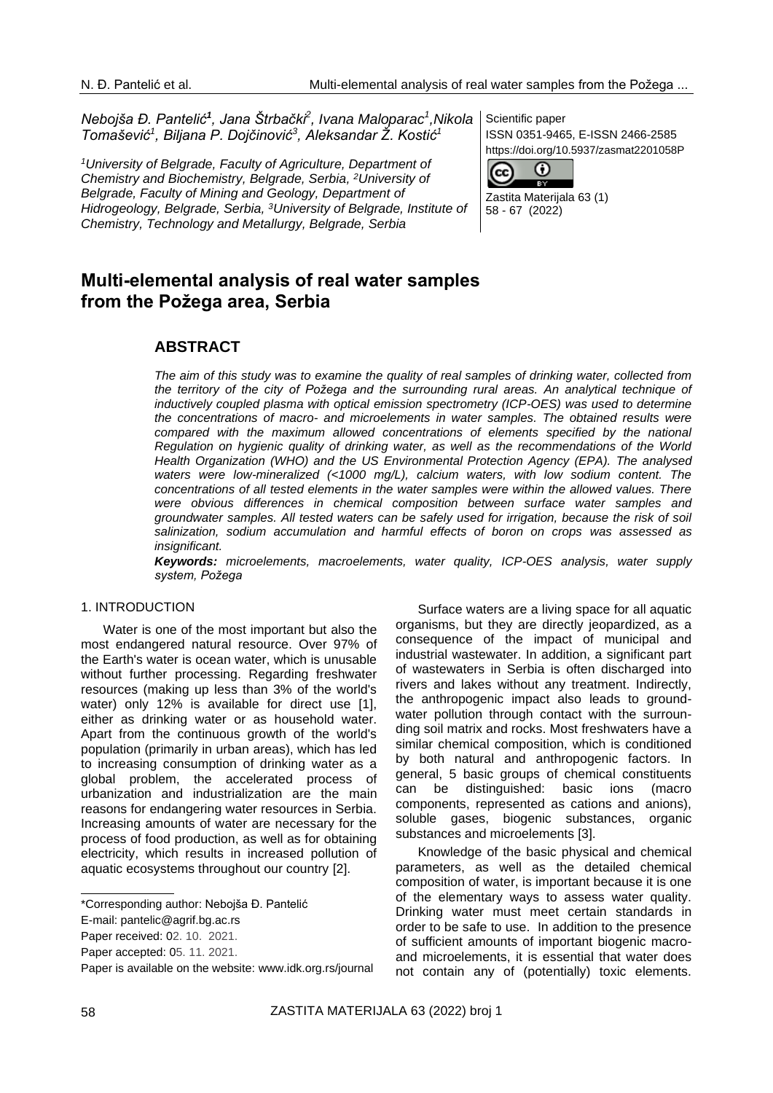*Nebojša Đ. Pantelić<sup>1</sup> , Jana Štrbački<sup>2</sup> , Ivana Maloparac<sup>1</sup> ,Nikola Tomašević<sup>1</sup> , Biljana P. Dojčinović<sup>3</sup> , Aleksandar Ž. Kostić<sup>1</sup>*

*<sup>1</sup>University of Belgrade, Faculty of Agriculture, Department of Chemistry and Biochemistry, Belgrade, Serbia, <sup>2</sup>University of Belgrade, Faculty of Mining and Geology, Department of Hidrogeology, Belgrade, Serbia, <sup>3</sup>University of Belgrade, Institute of Chemistry, Technology and Metallurgy, Belgrade, Serbia*

Scientific paper ISSN 0351-9465, E-ISSN 2466-2585 https://doi.org/10.5937/zasmat2201058P



Zastita Materijala 63 (1) 58 - 67 (2022)

# **Multi-elemental analysis of real water samples from the Požega area, Serbia**

## **ABSTRACT**

*The aim of this study was to examine the quality of real samples of drinking water, collected from*  the territory of the city of Požega and the surrounding rural areas. An analytical technique of *inductively coupled plasma with optical emission spectrometry (ICP-OES) was used to determine the concentrations of macro- and microelements in water samples. The obtained results were compared with the maximum allowed concentrations of elements specified by the national Regulation on hygienic quality of drinking water, as well as the recommendations of the World Health Organization (WHO) and the US Environmental Protection Agency (EPA). The analysed waters were low-mineralized (<1000 mg/L), calcium waters, with low sodium content. The concentrations of all tested elements in the water samples were within the allowed values. There were obvious differences in chemical composition between surface water samples and groundwater samples. All tested waters can be safely used for irrigation, because the risk of soil salinization, sodium accumulation and harmful effects of boron on crops was assessed as insignificant.*

*Keywords: microelements, macroelements, water quality, ICP-OES analysis, water supply system, Požega*

#### 1. INTRODUCTION

Water is one of the most important but also the most endangered natural resource. Over 97% of the Earth's water is ocean water, which is unusable without further processing. Regarding freshwater resources (making up less than 3% of the world's water) only 12% is available for direct use [1]. either as drinking water or as household water. Apart from the continuous growth of the world's population (primarily in urban areas), which has led to increasing consumption of drinking water as a global problem, the accelerated process of urbanization and industrialization are the main reasons for endangering water resources in Serbia. Increasing amounts of water are necessary for the process of food production, as well as for obtaining electricity, which results in increased pollution of aquatic ecosystems throughout our country [2].

Surface waters are a living space for all aquatic organisms, but they are directly jeopardized, as a consequence of the impact of municipal and industrial wastewater. In addition, a significant part of wastewaters in Serbia is often discharged into rivers and lakes without any treatment. Indirectly, the anthropogenic impact also leads to groundwater pollution through contact with the surrounding soil matrix and rocks. Most freshwaters have a similar chemical composition, which is conditioned by both natural and anthropogenic factors. In general, 5 basic groups of chemical constituents can be distinguished: basic ions (macro components, represented as cations and anions), soluble gases, biogenic substances, organic substances and microelements [3].

Knowledge of the basic physical and chemical parameters, as well as the detailed chemical composition of water, is important because it is one of the elementary ways to assess water quality. Drinking water must meet certain standards in order to be safe to use. In addition to the presence of sufficient amounts of important biogenic macroand microelements, it is essential that water does not contain any of (potentially) toxic elements.

<sup>\*</sup>Corresponding author: Nebojša Đ. Pantelić

E-mail: [pantelic@agrif.bg.ac.rs](mailto:pantelic@agrif.bg.ac.rs)

Paper received: 02. 10. 2021.

Paper accepted: 05. 11. 2021.

Paper is available on the website: [www.idk.org.rs/journal](http://www.idk.org.rs/journal)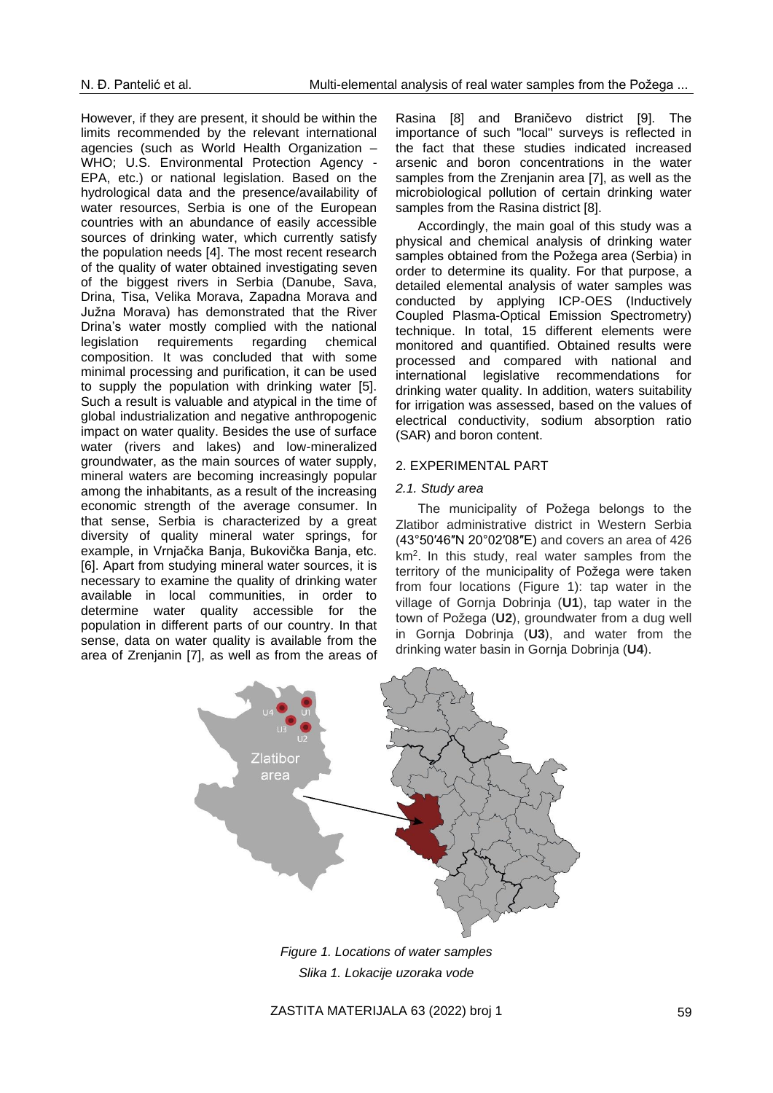However, if they are present, it should be within the limits recommended by the relevant international agencies (such as World Health Organization – WHO; U.S. Environmental Protection Agency - EPA, etc.) or national legislation. Based on the hydrological data and the presence/availability of water resources, Serbia is one of the European countries with an abundance of easily accessible sources of drinking water, which currently satisfy the population needs [4]. The most recent research of the quality of water obtained investigating seven of the biggest rivers in Serbia (Danube, Sava, Drina, Tisa, Velika Morava, Zapadna Morava and Južna Morava) has demonstrated that the River Drina's water mostly complied with the national legislation requirements regarding chemical composition. It was concluded that with some minimal processing and purification, it can be used to supply the population with drinking water [5]. Such a result is valuable and atypical in the time of global industrialization and negative anthropogenic impact on water quality. Besides the use of surface water (rivers and lakes) and low-mineralized groundwater, as the main sources of water supply, mineral waters are becoming increasingly popular among the inhabitants, as a result of the increasing economic strength of the average consumer. In that sense, Serbia is characterized by a great diversity of quality mineral water springs, for example, in Vrnjačka Banja, Bukovička Banja, etc. [6]. Apart from studying mineral water sources, it is necessary to examine the quality of drinking water available in local communities, in order to determine water quality accessible for the population in different parts of our country. In that sense, data on water quality is available from the area of Zrenjanin [7], as well as from the areas of

Rasina [8] and Braničevo district [9]. The importance of such "local" surveys is reflected in the fact that these studies indicated increased arsenic and boron concentrations in the water samples from the Zrenjanin area [7], as well as the microbiological pollution of certain drinking water samples from the Rasina district [8].

Accordingly, the main goal of this study was a physical and chemical analysis of drinking water samples obtained from the Požega area (Serbia) in order to determine its quality. For that purpose, a detailed elemental analysis of water samples was conducted by applying ICP-OES (Inductively Coupled Plasma-Optical Emission Spectrometry) technique. In total, 15 different elements were monitored and quantified. Obtained results were processed and compared with national and international legislative recommendations for drinking water quality. In addition, waters suitability for irrigation was assessed, based on the values of electrical conductivity, sodium absorption ratio (SAR) and boron content.

#### 2. EXPERIMENTAL PART

#### *2.1. Study area*

The municipality of Požega belongs to the Zlatibor administrative district in Western Serbia [\(43°50′46″N 20°02′08″E\)](https://geohack.toolforge.org/geohack.php?pagename=Po%C5%BEega,_Serbia¶ms=43_50_46_N_20_02_08_E_region:RS_type:city) and covers an area of 426 km<sup>2</sup> . In this study, real water samples from the territory of the municipality of Požega were taken from four locations (Figure 1): tap water in the village of Gornja Dobrinja (**U1**), tap water in the town of Požega (**U2**), groundwater from a dug well in Gornja Dobrinja (**U3**), and water from the drinking water basin in Gornja Dobrinja (**U4**).



*Figure 1. Locations of water samples Slika 1. Lokacije uzoraka vode*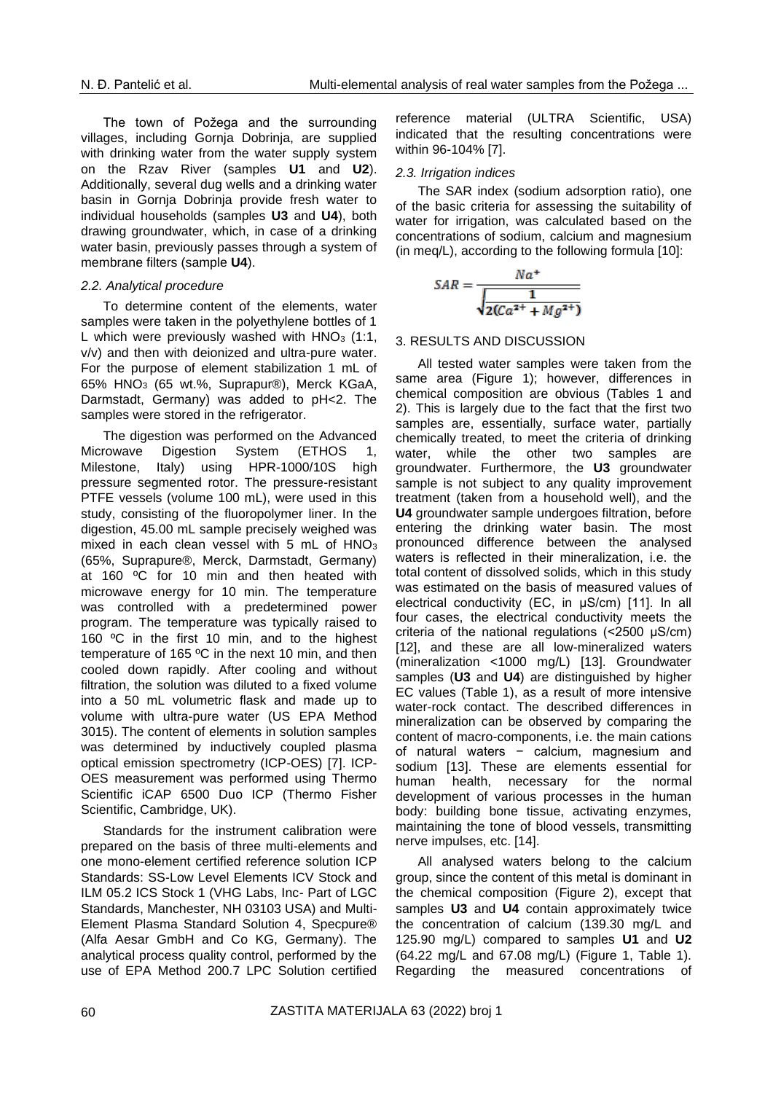The town of Požega and the surrounding villages, including Gornja Dobrinja, are supplied with drinking water from the water supply system on the Rzav River (samples **U1** and **U2**). Additionally, several dug wells and a drinking water basin in Gornja Dobrinja provide fresh water to individual households (samples **U3** and **U4**), both drawing groundwater, which, in case of a drinking water basin, previously passes through a system of membrane filters (sample **U4**).

#### *2.2. Analytical procedure*

To determine content of the elements, water samples were taken in the polyethylene bottles of 1 L which were previously washed with  $HNO<sub>3</sub>$  (1:1, v/v) and then with deionized and ultra-pure water. For the purpose of element stabilization 1 mL of 65% HNO<sup>3</sup> (65 wt.%, Suprapur®), Merck KGaA, Darmstadt, Germany) was added to pH<2. The samples were stored in the refrigerator.

The digestion was performed on the Advanced Microwave Digestion System (ETHOS 1, Milestone, Italy) using HPR-1000/10S high pressure segmented rotor. The pressure-resistant PTFE vessels (volume 100 mL), were used in this study, consisting of the fluoropolymer liner. In the digestion, 45.00 mL sample precisely weighed was mixed in each clean vessel with 5 mL of HNO<sub>3</sub> (65%, Suprapure®, Merck, Darmstadt, Germany) at 160 ºC for 10 min and then heated with microwave energy for 10 min. The temperature was controlled with a predetermined power program. The temperature was typically raised to 160 ºC in the first 10 min, and to the highest temperature of 165 ºC in the next 10 min, and then cooled down rapidly. After cooling and without filtration, the solution was diluted to a fixed volume into a 50 mL volumetric flask and made up to volume with ultra-pure water (US EPA Method 3015). The content of elements in solution samples was determined by inductively coupled plasma optical emission spectrometry (ICP-OES) [7]. ICP-OES measurement was performed using Thermo Scientific iCAP 6500 Duo ICP (Thermo Fisher Scientific, Cambridge, UK).

Standards for the instrument calibration were prepared on the basis of three multi-elements and one mono-element certified reference solution ICP Standards: SS-Low Level Elements ICV Stock and ILM 05.2 ICS Stock 1 (VHG Labs, Inc- Part of LGC Standards, Manchester, NH 03103 USA) and Multi-Element Plasma Standard Solution 4, Specpure® (Alfa Aesar GmbH and Co KG, Germany). The analytical process quality control, performed by the use of EPA Method 200.7 LPC Solution certified

reference material (ULTRA Scientific, USA) indicated that the resulting concentrations were within 96-104% [7].

#### *2.3. Irrigation indices*

The SAR index (sodium adsorption ratio), one of the basic criteria for assessing the suitability of water for irrigation, was calculated based on the concentrations of sodium, calcium and magnesium (in meq/L), according to the following formula [10]:

$$
SAR = \frac{Na^{+}}{\sqrt{\frac{1}{2(Ca^{2+} + Mg^{2+})}}}
$$

#### 3. RESULTS AND DISCUSSION

All tested water samples were taken from the same area (Figure 1); however, differences in chemical composition are obvious (Tables 1 and 2). This is largely due to the fact that the first two samples are, essentially, surface water, partially chemically treated, to meet the criteria of drinking water, while the other two samples are groundwater. Furthermore, the **U3** groundwater sample is not subject to any quality improvement treatment (taken from a household well), and the **U4** groundwater sample undergoes filtration, before entering the drinking water basin. The most pronounced difference between the analysed waters is reflected in their mineralization, i.e. the total content of dissolved solids, which in this study was estimated on the basis of measured values of electrical conductivity (EC, in μS/cm) [11]. In all four cases, the electrical conductivity meets the criteria of the national regulations (<2500 μS/cm) [12], and these are all low-mineralized waters (mineralization <1000 mg/L) [13]. Groundwater samples (**U3** and **U4**) are distinguished by higher EC values (Table 1), as a result of more intensive water-rock contact. The described differences in mineralization can be observed by comparing the content of macro-components, i.e. the main cations of natural waters − calcium, magnesium and sodium [13]. These are elements essential for human health, necessary for the normal development of various processes in the human body: building bone tissue, activating enzymes, maintaining the tone of blood vessels, transmitting nerve impulses, etc. [14].

All analysed waters belong to the calcium group, since the content of this metal is dominant in the chemical composition (Figure 2), except that samples **U3** and **U4** contain approximately twice the concentration of calcium (139.30 mg/L and 125.90 mg/L) compared to samples **U1** and **U2** (64.22 mg/L and 67.08 mg/L) (Figure 1, Table 1). Regarding the measured concentrations of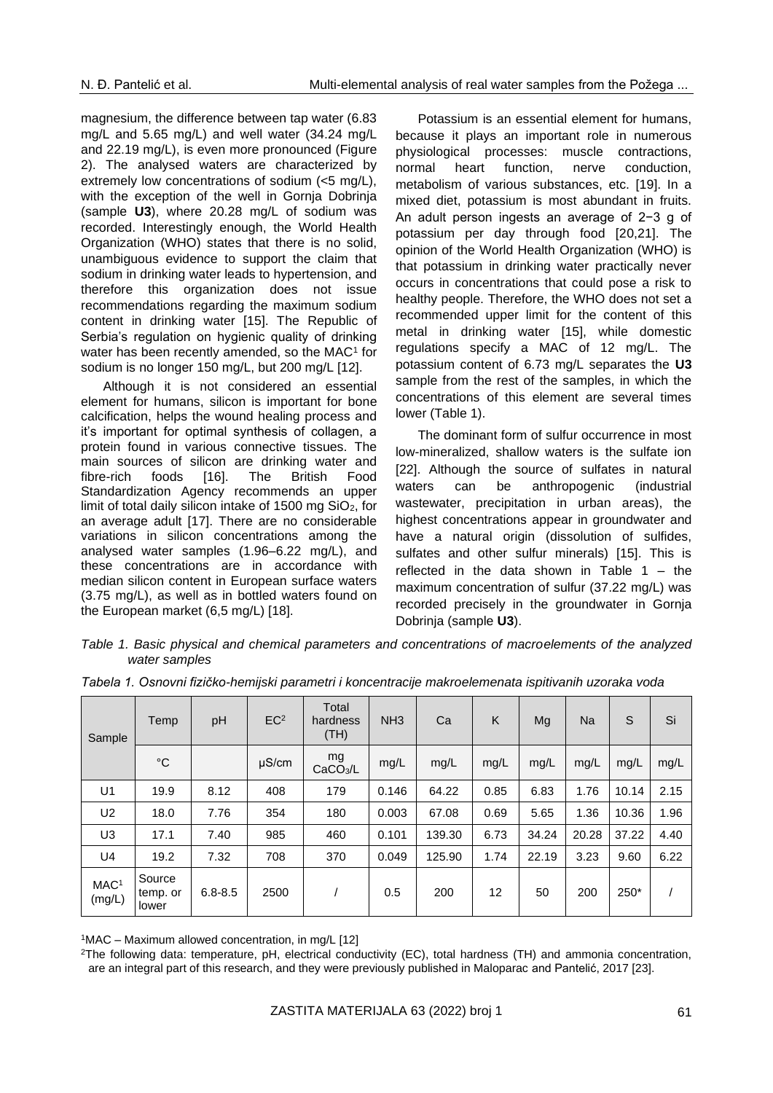magnesium, the difference between tap water (6.83 mg/L and 5.65 mg/L) and well water (34.24 mg/L and 22.19 mg/L), is even more pronounced (Figure 2). The analysed waters are characterized by extremely low concentrations of sodium (<5 mg/L), with the exception of the well in Gornia Dobrinia (sample **U3**), where 20.28 mg/L of sodium was recorded. Interestingly enough, the World Health Organization (WHO) states that there is no solid, unambiguous evidence to support the claim that sodium in drinking water leads to hypertension, and therefore this organization does not issue recommendations regarding the maximum sodium content in drinking water [15]. The Republic of Serbia's regulation on hygienic quality of drinking water has been recently amended, so the MAC<sup>1</sup> for sodium is no longer 150 mg/L, but 200 mg/L [12].

Although it is not considered an essential element for humans, silicon is important for bone calcification, helps the wound healing process and it's important for optimal synthesis of collagen, a protein found in various connective tissues. The main sources of silicon are drinking water and fibre-rich foods [16]. The British Food Standardization Agency recommends an upper limit of total daily silicon intake of 1500 mg  $SiO<sub>2</sub>$ , for an average adult [17]. There are no considerable variations in silicon concentrations among the analysed water samples (1.96–6.22 mg/L), and these concentrations are in accordance with median silicon content in European surface waters (3.75 mg/L), as well as in bottled waters found on the European market (6,5 mg/L) [18].

Potassium is an essential element for humans, because it plays an important role in numerous physiological processes: muscle contractions, normal heart function, nerve conduction, metabolism of various substances, etc. [19]. In a mixed diet, potassium is most abundant in fruits. An adult person ingests an average of 2−3 g of potassium per day through food [20,21]. The opinion of the World Health Organization (WHO) is that potassium in drinking water practically never occurs in concentrations that could pose a risk to healthy people. Therefore, the WHO does not set a recommended upper limit for the content of this metal in drinking water [15], while domestic regulations specify a MAC of 12 mg/L. The potassium content of 6.73 mg/L separates the **U3** sample from the rest of the samples, in which the concentrations of this element are several times lower (Table 1).

The dominant form of sulfur occurrence in most low-mineralized, shallow waters is the sulfate ion [22]. Although the source of sulfates in natural waters can be anthropogenic (industrial wastewater, precipitation in urban areas), the highest concentrations appear in groundwater and have a natural origin (dissolution of sulfides, sulfates and other sulfur minerals) [15]. This is reflected in the data shown in Table  $1 -$  the maximum concentration of sulfur (37.22 mg/L) was recorded precisely in the groundwater in Gornja Dobrinja (sample **U3**).

*Table 1. Basic physical and chemical parameters and concentrations of macroelements of the analyzed water samples*

| Sample                     | Temp                        | pH          | EC <sup>2</sup> | Total<br>hardness<br>(TH)  | NH <sub>3</sub> | Ca     | Κ    | Mg    | Na    | S     | Si   |
|----------------------------|-----------------------------|-------------|-----------------|----------------------------|-----------------|--------|------|-------|-------|-------|------|
|                            | °C                          |             | $\mu$ S/cm      | mg<br>CaCO <sub>3</sub> /L | mg/L            | mg/L   | mg/L | mg/L  | mg/L  | mg/L  | mg/L |
| U <sub>1</sub>             | 19.9                        | 8.12        | 408             | 179                        | 0.146           | 64.22  | 0.85 | 6.83  | 1.76  | 10.14 | 2.15 |
| U <sub>2</sub>             | 18.0                        | 7.76        | 354             | 180                        | 0.003           | 67.08  | 0.69 | 5.65  | 1.36  | 10.36 | 1.96 |
| U3                         | 17.1                        | 7.40        | 985             | 460                        | 0.101           | 139.30 | 6.73 | 34.24 | 20.28 | 37.22 | 4.40 |
| U4                         | 19.2                        | 7.32        | 708             | 370                        | 0.049           | 125.90 | 1.74 | 22.19 | 3.23  | 9.60  | 6.22 |
| MAC <sup>1</sup><br>(mg/L) | Source<br>temp. or<br>lower | $6.8 - 8.5$ | 2500            |                            | 0.5             | 200    | 12   | 50    | 200   | 250*  |      |

*Tabela 1. Osnovni fizičko-hemijski parametri i koncentracije makroelemenata ispitivanih uzoraka voda*

 $1$ MAC – Maximum allowed concentration, in mg/L [12]

<sup>2</sup>The following data: temperature, pH, electrical conductivity (EC), total hardness (TH) and ammonia concentration, are an integral part of this research, and they were previously published in Maloparac and Pantelić, 2017 [23].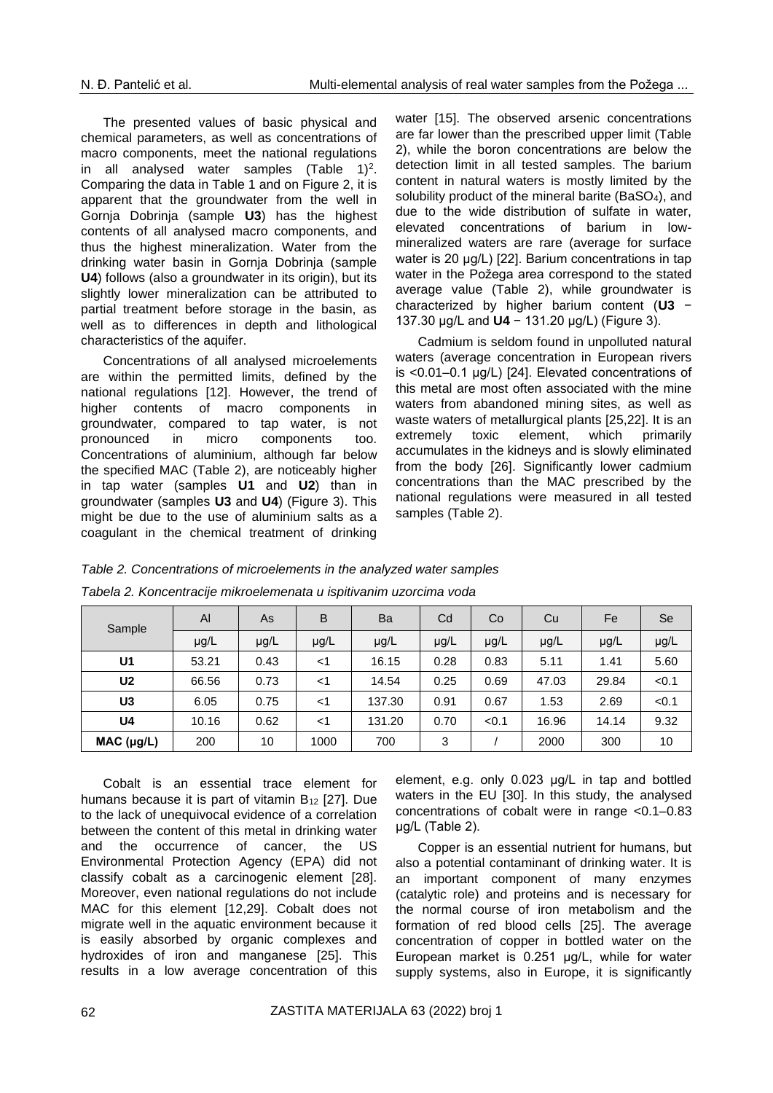The presented values of basic physical and chemical parameters, as well as concentrations of macro components, meet the national regulations in all analysed water samples  $(Table 1)<sup>2</sup>$ . Comparing the data in Table 1 and on Figure 2, it is apparent that the groundwater from the well in Gornja Dobrinja (sample **U3**) has the highest contents of all analysed macro components, and thus the highest mineralization. Water from the drinking water basin in Gornja Dobrinja (sample **U4**) follows (also a groundwater in its origin), but its slightly lower mineralization can be attributed to partial treatment before storage in the basin, as well as to differences in depth and lithological characteristics of the aquifer.

Concentrations of all analysed microelements are within the permitted limits, defined by the national regulations [12]. However, the trend of higher contents of macro components in groundwater, compared to tap water, is not pronounced in micro components too. Concentrations of aluminium, although far below the specified MAC (Table 2), are noticeably higher in tap water (samples **U1** and **U2**) than in groundwater (samples **U3** and **U4**) (Figure 3). This might be due to the use of aluminium salts as a coagulant in the chemical treatment of drinking

water [15]. The observed arsenic concentrations are far lower than the prescribed upper limit (Table 2), while the boron concentrations are below the detection limit in all tested samples. The barium content in natural waters is mostly limited by the solubility product of the mineral barite (BaSO4), and due to the wide distribution of sulfate in water, elevated concentrations of barium in lowmineralized waters are rare (average for surface water is 20 μg/L) [22]. Barium concentrations in tap water in the Požega area correspond to the stated average value (Table 2), while groundwater is characterized by higher barium content (**U3** − 137.30 μg/L and **U4** − 131.20 μg/L) (Figure 3).

Cadmium is seldom found in unpolluted natural waters (average concentration in European rivers is <0.01–0.1 μg/L) [24]. Elevated concentrations of this metal are most often associated with the mine waters from abandoned mining sites, as well as waste waters of metallurgical plants [25,22]. It is an extremely toxic element, which primarily accumulates in the kidneys and is slowly eliminated from the body [26]. Significantly lower cadmium concentrations than the MAC prescribed by the national regulations were measured in all tested samples (Table 2).

### *Table 2. Concentrations of microelements in the analyzed water samples*

| Sample         | Al    | As   | B     | Ba        | Cd   | Co    | Cu    | Fe    | Se    |
|----------------|-------|------|-------|-----------|------|-------|-------|-------|-------|
|                | µg/L  | µg/L | µg/L  | $\mu$ g/L | µg/L | µg/L  | µg/L  | µg/L  | µg/L  |
| U <sub>1</sub> | 53.21 | 0.43 | $<$ 1 | 16.15     | 0.28 | 0.83  | 5.11  | 1.41  | 5.60  |
| U <sub>2</sub> | 66.56 | 0.73 | $<$ 1 | 14.54     | 0.25 | 0.69  | 47.03 | 29.84 | < 0.1 |
| U3             | 6.05  | 0.75 | $<$ 1 | 137.30    | 0.91 | 0.67  | 1.53  | 2.69  | < 0.1 |
| U4             | 10.16 | 0.62 | $<$ 1 | 131.20    | 0.70 | < 0.1 | 16.96 | 14.14 | 9.32  |
| MAC (µg/L)     | 200   | 10   | 1000  | 700       | 3    |       | 2000  | 300   | 10    |

*Tabela 2. Koncentracije mikroelemenata u ispitivanim uzorcima voda*

Cobalt is an essential trace element for humans because it is part of vitamin  $B_{12}$  [27]. Due to the lack of unequivocal evidence of a correlation between the content of this metal in drinking water and the occurrence of cancer, the US Environmental Protection Agency (EPA) did not classify cobalt as a carcinogenic element [28]. Moreover, even national regulations do not include MAC for this element [12,29]. Cobalt does not migrate well in the aquatic environment because it is easily absorbed by organic complexes and hydroxides of iron and manganese [25]. This results in a low average concentration of this

element, e.g. only 0.023 μg/L in tap and bottled waters in the EU [30]. In this study, the analysed concentrations of cobalt were in range <0.1–0.83 μg/L (Table 2).

Copper is an essential nutrient for humans, but also a potential contaminant of drinking water. It is an important component of many enzymes (catalytic role) and proteins and is necessary for the normal course of iron metabolism and the formation of red blood cells [25]. The average concentration of copper in bottled water on the European market is 0.251 μg/L, while for water supply systems, also in Europe, it is significantly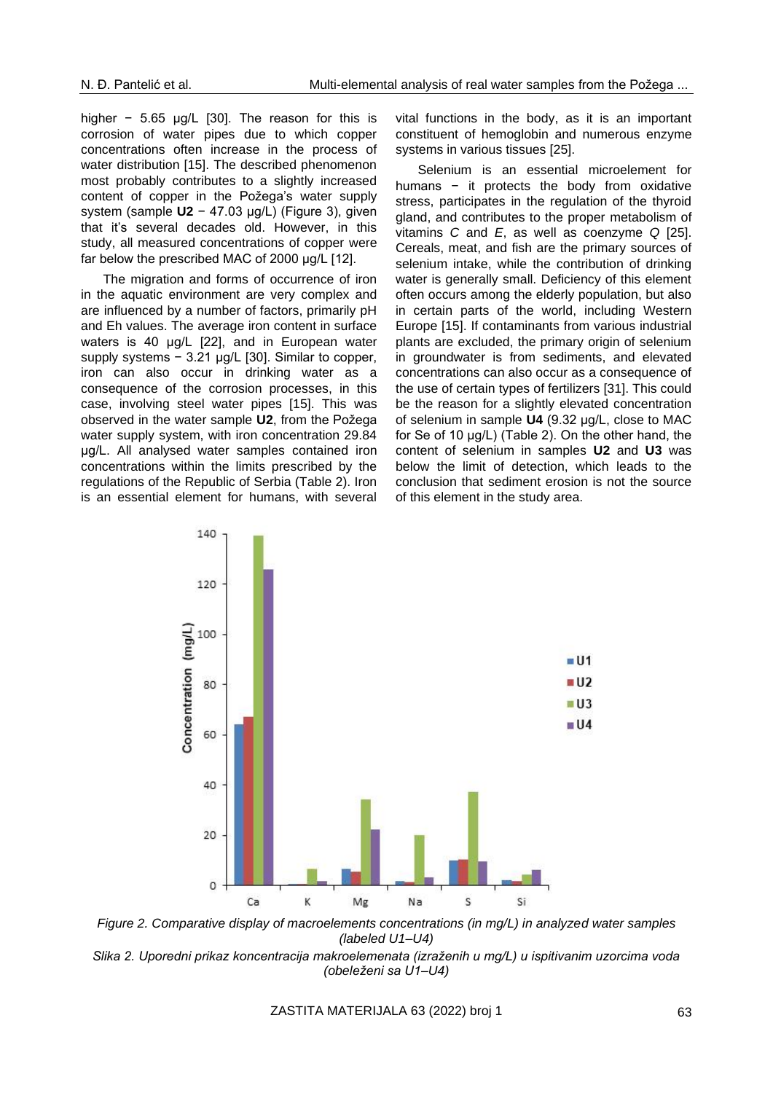higher − 5.65 μg/L [30]. The reason for this is corrosion of water pipes due to which copper concentrations often increase in the process of water distribution [15]. The described phenomenon most probably contributes to a slightly increased content of copper in the Požega's water supply system (sample **U2** − 47.03 µg/L) (Figure 3), given that it's several decades old. However, in this study, all measured concentrations of copper were far below the prescribed MAC of 2000 μg/L [12].

The migration and forms of occurrence of iron in the aquatic environment are very complex and are influenced by a number of factors, primarily pH and Eh values. The average iron content in surface waters is 40 μg/L [22], and in European water supply systems − 3.21 µg/L [30]. Similar to copper, iron can also occur in drinking water as a consequence of the corrosion processes, in this case, involving steel water pipes [15]. This was observed in the water sample **U2**, from the Požega water supply system, with iron concentration 29.84 μg/L. All analysed water samples contained iron concentrations within the limits prescribed by the regulations of the Republic of Serbia (Table 2). Iron is an essential element for humans, with several vital functions in the body, as it is an important constituent of hemoglobin and numerous enzyme systems in various tissues [25].

Selenium is an essential microelement for humans − it protects the body from oxidative stress, participates in the regulation of the thyroid gland, and contributes to the proper metabolism of vitamins *C* and *E*, as well as coenzyme *Q* [25]. Cereals, meat, and fish are the primary sources of selenium intake, while the contribution of drinking water is generally small. Deficiency of this element often occurs among the elderly population, but also in certain parts of the world, including Western Europe [15]. If contaminants from various industrial plants are excluded, the primary origin of selenium in groundwater is from sediments, and elevated concentrations can also occur as a consequence of the use of certain types of fertilizers [31]. This could be the reason for a slightly elevated concentration of selenium in sample **U4** (9.32 μg/L, close to MAC for Se of 10 μg/L) (Table 2). On the other hand, the content of selenium in samples **U2** and **U3** was below the limit of detection, which leads to the conclusion that sediment erosion is not the source of this element in the study area.



*Figure 2. Comparative display of macroelements concentrations (in mg/L) in analyzed water samples (labeled U1–U4)*

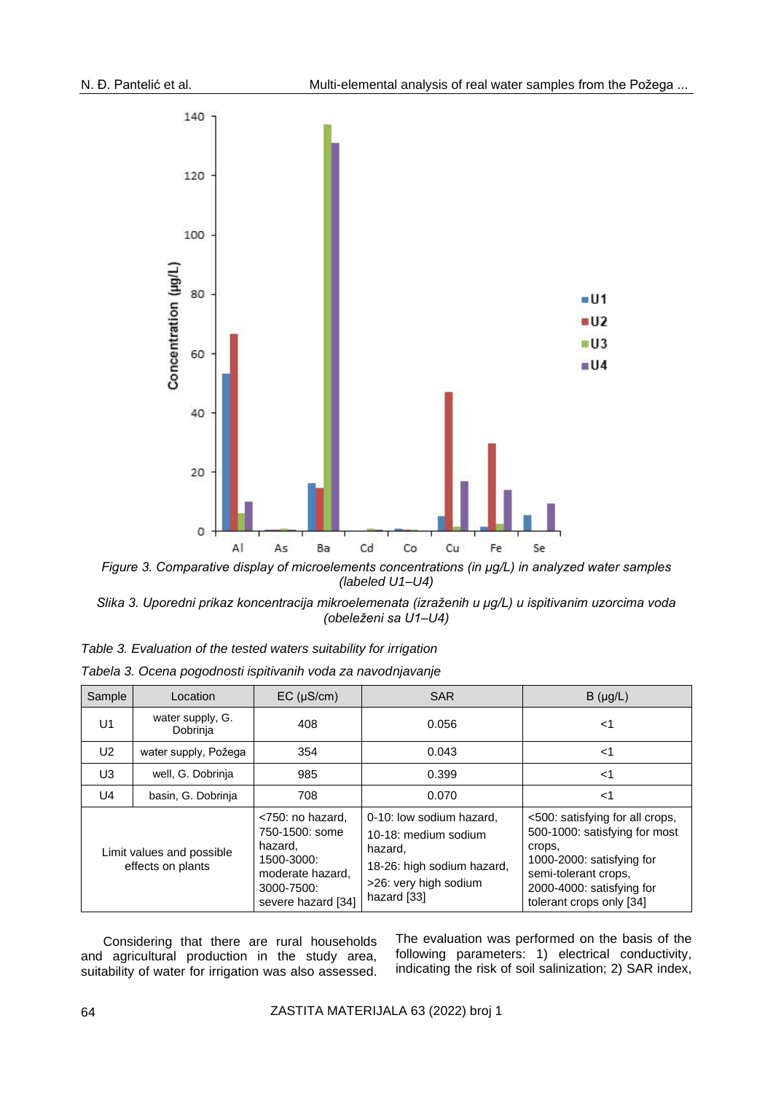

*Figure 3. Comparative display of microelements concentrations (in μg/L) in analyzed water samples (labeled U1–U4)*

*Slika 3. Uporedni prikaz koncentracija mikroelemenata (izraženih u μg/L) u ispitivanim uzorcima voda (obeleženi sa U1–U4)*

| Sample                                         | Location                     | $EC$ ( $\mu$ S/cm)                                                                                                  | <b>SAR</b>                                                                                                                        | $B(\mu g/L)$                                                                                                                                                                             |
|------------------------------------------------|------------------------------|---------------------------------------------------------------------------------------------------------------------|-----------------------------------------------------------------------------------------------------------------------------------|------------------------------------------------------------------------------------------------------------------------------------------------------------------------------------------|
| U <sub>1</sub>                                 | water supply, G.<br>Dobrinja | 408                                                                                                                 | 0.056                                                                                                                             | <1                                                                                                                                                                                       |
| U2                                             | water supply, Požega         | 354                                                                                                                 | 0.043                                                                                                                             | $<$ 1                                                                                                                                                                                    |
| U3                                             | well, G. Dobrinja            | 985                                                                                                                 | 0.399                                                                                                                             | ا>                                                                                                                                                                                       |
| U4                                             | basin, G. Dobrinja           | 708                                                                                                                 | 0.070                                                                                                                             | <1                                                                                                                                                                                       |
| Limit values and possible<br>effects on plants |                              | <750: no hazard,<br>750-1500: some<br>hazard.<br>1500-3000:<br>moderate hazard.<br>3000-7500:<br>severe hazard [34] | 0-10: low sodium hazard.<br>10-18: medium sodium<br>hazard,<br>18-26: high sodium hazard,<br>>26: very high sodium<br>hazard [33] | <500: satisfying for all crops,<br>500-1000: satisfying for most<br>crops,<br>1000-2000: satisfying for<br>semi-tolerant crops,<br>2000-4000: satisfying for<br>tolerant crops only [34] |

|  | Tabela 3. Ocena pogodnosti ispitivanih voda za navodnjavanje |  |  |  |
|--|--------------------------------------------------------------|--|--|--|
|  |                                                              |  |  |  |

Considering that there are rural households and agricultural production in the study area, suitability of water for irrigation was also assessed. The evaluation was performed on the basis of the following parameters: 1) electrical conductivity, indicating the risk of soil salinization; 2) SAR index,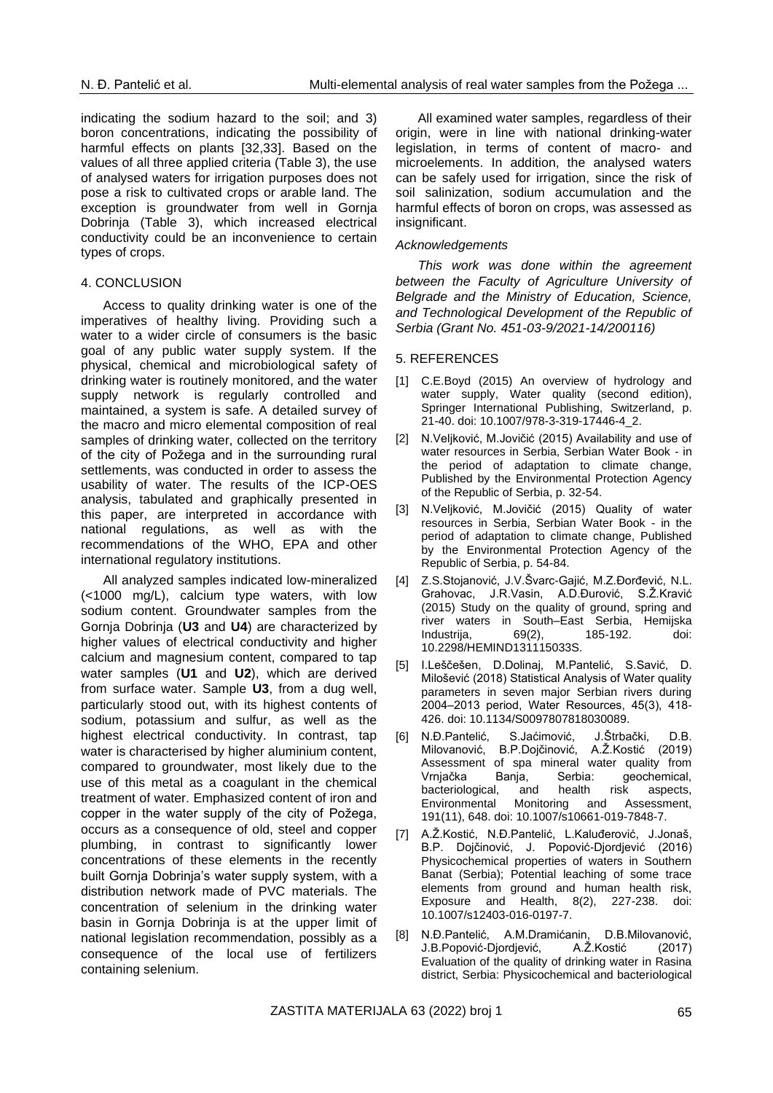indicating the sodium hazard to the soil; and 3) boron concentrations, indicating the possibility of harmful effects on plants [32,33]. Based on the values of all three applied criteria (Table 3), the use of analysed waters for irrigation purposes does not pose a risk to cultivated crops or arable land. The exception is groundwater from well in Gornia Dobrinja (Table 3), which increased electrical conductivity could be an inconvenience to certain types of crops.

#### 4. CONCLUSION

Access to quality drinking water is one of the imperatives of healthy living. Providing such a water to a wider circle of consumers is the basic goal of any public water supply system. If the physical, chemical and microbiological safety of drinking water is routinely monitored, and the water supply network is regularly controlled and maintained, a system is safe. A detailed survey of the macro and micro elemental composition of real samples of drinking water, collected on the territory of the city of Požega and in the surrounding rural settlements, was conducted in order to assess the usability of water. The results of the ICP-OES analysis, tabulated and graphically presented in this paper, are interpreted in accordance with national regulations, as well as with the recommendations of the WHO, EPA and other international regulatory institutions.

All analyzed samples indicated low-mineralized (<1000 mg/L), calcium type waters, with low sodium content. Groundwater samples from the Gornja Dobrinja (**U3** and **U4**) are characterized by higher values of electrical conductivity and higher calcium and magnesium content, compared to tap water samples (**U1** and **U2**), which are derived from surface water. Sample **U3**, from a dug well, particularly stood out, with its highest contents of sodium, potassium and sulfur, as well as the highest electrical conductivity. In contrast, tap water is characterised by higher aluminium content, compared to groundwater, most likely due to the use of this metal as a coagulant in the chemical treatment of water. Emphasized content of iron and copper in the water supply of the city of Požega, occurs as a consequence of old, steel and copper plumbing, in contrast to significantly lower concentrations of these elements in the recently built Gornja Dobrinja's water supply system, with a distribution network made of PVC materials. The concentration of selenium in the drinking water basin in Gornja Dobrinja is at the upper limit of national legislation recommendation, possibly as a consequence of the local use of fertilizers containing selenium.

All examined water samples, regardless of their origin, were in line with national drinking-water legislation, in terms of content of macro- and microelements. In addition, the analysed waters can be safely used for irrigation, since the risk of soil salinization, sodium accumulation and the harmful effects of boron on crops, was assessed as insignificant.

#### *Acknowledgements*

*This work was done within the agreement between the Faculty of Agriculture University of Belgrade and the Ministry of Education, Science, and Technological Development of the Republic of Serbia (Grant No. 451-03-9/2021-14/200116)*

#### 5. REFERENCES

- [1] C.E.Boyd (2015) An overview of hydrology and water supply, Water quality (second edition), Springer International Publishing, Switzerland, p. 21-40. doi: 10.1007/978-3-319-17446-4\_2.
- [2] N.Veljković, M.Jovičić (2015) Availability and use of water resources in Serbia, Serbian Water Book - in the period of adaptation to climate change, Published by the Environmental Protection Agency of the Republic of Serbia, p. 32-54.
- [3] N.Veljković, M.Jovičić (2015) Quality of water resources in Serbia, Serbian Water Book - in the period of adaptation to climate change, Published by the Environmental Protection Agency of the Republic of Serbia, p. 54-84.
- [4] Z.S.Stojanović, J.V.Švarc-Gajić, M.Z.Đorđević, N.L. Grahovac, J.R.Vasin, A.D.Đurović, S.Ž.Kravić (2015) Study on the quality of ground, spring and river waters in South–East Serbia, Hemijska Industrija, 69(2), 185-192. doi: 10.2298/HEMIND131115033S.
- [5] I.Leščešen, D.Dolinaj, M.Pantelić, S.Savić, D. Milošević (2018) Statistical Analysis of Water quality parameters in seven major Serbian rivers during 2004‒2013 period, Water Resources, 45(3), 418- 426. doi: 10.1134/S0097807818030089.
- [6] N.Đ.Pantelić, S.Jaćimović, J.Štrbački, D.B. Milovanović, B.P.Dojčinović, A.Ž.Kostić (2019) Assessment of spa mineral water quality from Vrnjačka Banja, Serbia: geochemical, bacteriological, and health risk aspects, Environmental Monitoring and Assessment, 191(11), 648. doi: 10.1007/s10661-019-7848-7.
- [7] A.Ž.Kostić, N.Đ.Pantelić, L.Kaluđerović, J.Jonaš, B.P. Dojčinović, J. Popović-Djordjević (2016) Physicochemical properties of waters in Southern Banat (Serbia); Potential leaching of some trace elements from ground and human health risk, Exposure and Health, 8(2), 227-238. doi: 10.1007/s12403-016-0197-7.
- [8] N.Đ.Pantelić, A.M.Dramićanin, D.B.Milovanović, J.B.Popović-Djordjević, A.Ž.Kostić (2017) Evaluation of the quality of drinking water in Rasina district, Serbia: Physicochemical and bacteriological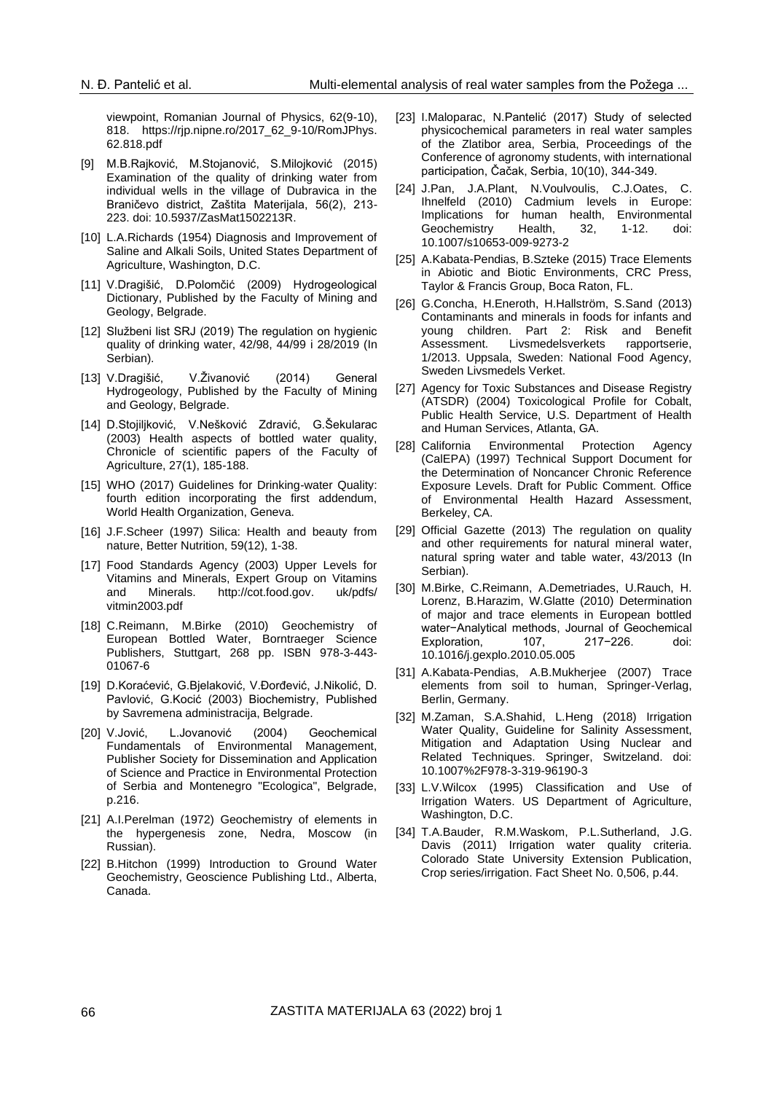viewpoint, Romanian Journal of Physics, 62(9-10), 818. [https://rjp.nipne.ro/2017\\_62\\_9-10/RomJPhys.](https://rjp.nipne.ro/2017_62_9-10/RomJPhys.%2062.818.pdf)  [62.818.pdf](https://rjp.nipne.ro/2017_62_9-10/RomJPhys.%2062.818.pdf)

- [9] M.B.Rajković, M.Stojanović, S.Milojković (2015) Examination of the quality of drinking water from individual wells in the village of Dubravica in the Braničevo district, Zaštita Materijala, 56(2), 213- 223. doi: 10.5937/ZasMat1502213R.
- [10] L.A.Richards (1954) Diagnosis and Improvement of Saline and Alkali Soils, United States Department of Agriculture, Washington, D.C.
- [11] V.Dragišić, D.Polomčić (2009) Hydrogeological Dictionary, Published by the Faculty of Mining and Geology, Belgrade.
- [12] Službeni list SRJ (2019) The regulation on hygienic quality of drinking water, 42/98, 44/99 i 28/2019 (In Serbian).
- [13] V.Dragišić, V.Živanović (2014) General Hydrogeology, Published by the Faculty of Mining and Geology, Belgrade.
- [14] D.Stojiljković, V.Nešković Zdravić, G.Šekularac (2003) Health aspects of bottled water quality, Chronicle of scientific papers of the Faculty of Agriculture, 27(1), 185-188.
- [15] WHO (2017) Guidelines for Drinking-water Quality: fourth edition incorporating the first addendum, World Health Organization, Geneva.
- [16] J.F.Scheer (1997) Silica: Health and beauty from nature, Better Nutrition, 59(12), 1-38.
- [17] Food Standards Agency (2003) Upper Levels for Vitamins and Minerals, Expert Group on Vitamins and Minerals. http://cot.food.gov. uk/pdfs/ vitmin2003.pdf
- [18] C.Reimann, M.Birke (2010) Geochemistry of European Bottled Water, Borntraeger Science Publishers, Stuttgart, 268 pp. ISBN 978-3-443- 01067-6
- [19] D.Koraćević, G.Bjelaković, V.Đorđević, J.Nikolić, D. Pavlović, G.Kocić (2003) Biochemistry, Published by Savremena administracija, Belgrade.
- [20] V.Jović, L.Jovanović (2004) Geochemical Fundamentals of Environmental Management, Publisher Society for Dissemination and Application of Science and Practice in Environmental Protection of Serbia and Montenegro "Ecologica", Belgrade, p.216.
- [21] A.I.Perelman (1972) Geochemistry of elements in the hypergenesis zone, Nedra, Moscow (in Russian).
- [22] B.Hitchon (1999) Introduction to Ground Water Geochemistry, Geoscience Publishing Ltd., Alberta, Canada.
- [23] I.Maloparac, N.Pantelić (2017) Study of selected physicochemical parameters in real water samples of the Zlatibor area, Serbia, Proceedings of the Conference of agronomy students, with international participation, Čačak, Serbia, 10(10), 344-349.
- [24] J.Pan, J.A.Plant, N.Voulvoulis, C.J.Oates, C. Ihnelfeld (2010) Cadmium levels in Europe: Implications for human health, Environmental Geochemistry Health, 32, 1-12. doi: 10.1007/s10653-009-9273-2
- [25] A.Kabata-Pendias, B.Szteke (2015) Trace Elements in Abiotic and Biotic Environments, CRC Press, Taylor & Francis Group, Boca Raton, FL.
- [26] G.Concha, H.Eneroth, H.Hallström, S.Sand (2013) Contaminants and minerals in foods for infants and young children. Part 2: Risk and Benefit Assessment. Livsmedelsverkets rapportserie, 1/2013. Uppsala, Sweden: National Food Agency, Sweden Livsmedels Verket.
- [27] Agency for Toxic Substances and Disease Registry (ATSDR) (2004) Toxicological Profile for Cobalt, Public Health Service, U.S. Department of Health and Human Services, Atlanta, GA.
- [28] California Environmental Protection Agency (CalEPA) (1997) Technical Support Document for the Determination of Noncancer Chronic Reference Exposure Levels. Draft for Public Comment. Office of Environmental Health Hazard Assessment, Berkeley, CA.
- [29] Official Gazette (2013) The regulation on quality and other requirements for natural mineral water, natural spring water and table water, 43/2013 (In Serbian).
- [30] M.Birke, C.Reimann, A.Demetriades, U.Rauch, H. Lorenz, B.Harazim, W.Glatte (2010) Determination of major and trace elements in European bottled water−Analytical methods, Journal of Geochemical Exploration, 107, 217−226. doi: 10.1016/j.gexplo.2010.05.005
- [31] A.Kabata-Pendias, A.B.Mukherjee (2007) Trace elements from soil to human, Springer-Verlag, Berlin, Germany.
- [32] M.Zaman, S.A.Shahid, L.Heng (2018) Irrigation Water Quality, Guideline for Salinity Assessment, Mitigation and Adaptation Using Nuclear and Related Techniques. Springer, Switzeland. doi: 10.1007%2F978-3-319-96190-3
- [33] L.V.Wilcox (1995) Classification and Use of Irrigation Waters. US Department of Agriculture, Washington, D.C.
- [34] T.A.Bauder, R.M.Waskom, P.L.Sutherland, J.G. Davis (2011) Irrigation water quality criteria. Colorado State University Extension Publication, Crop series/irrigation. Fact Sheet No. 0,506, p.44.